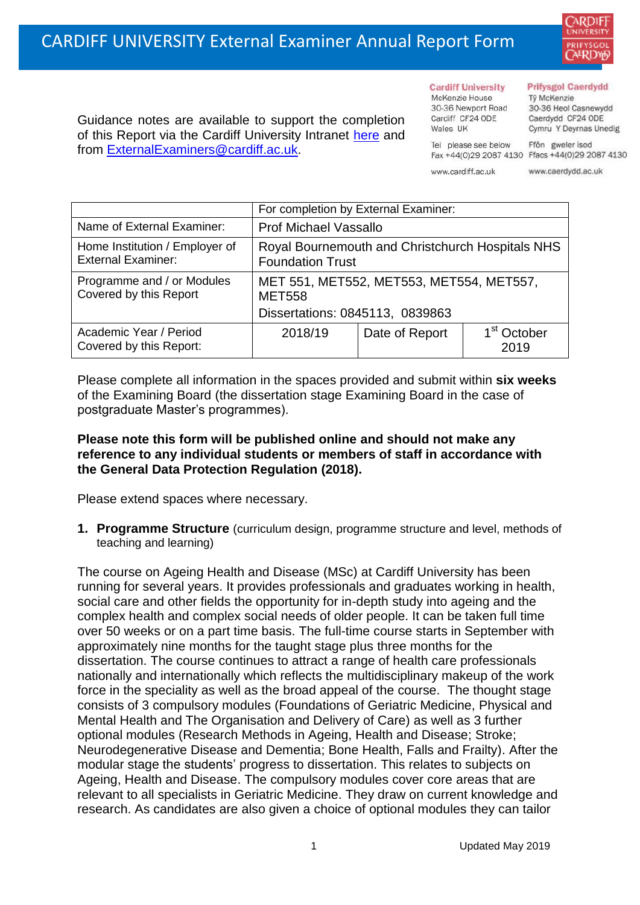

Guidance notes are available to support the completion of this Report via the Cardiff University Intranet [here](https://intranet.cardiff.ac.uk/staff/teaching-and-supporting-students/exams-and-assessment/exam-boards-and-external-examiners/for-current-external-examiners/external-examiners-reports) and from [ExternalExaminers@cardiff.ac.uk.](mailto:ExternalExaminers@cardiff.ac.uk)

#### **Cardiff University** McKenzie House 30-36 Newport Road

Cardiff CF24 ODE

Wales UK

#### **Prifysgol Caerdydd**

Từ McKenzie 30-36 Heol Casnewydd Caerdydd CF24 ODE Cymru Y Deyrnas Unedig

Ffôn gweler isod Fax +44(0)29 2087 4130 Ffacs +44(0)29 2087 4130

www.cardiff.ac.uk

Tel please see below

www.caerdydd.ac.uk

|                                                             | For completion by External Examiner:                                        |                |                                 |  |  |
|-------------------------------------------------------------|-----------------------------------------------------------------------------|----------------|---------------------------------|--|--|
| Name of External Examiner:                                  | <b>Prof Michael Vassallo</b>                                                |                |                                 |  |  |
| Home Institution / Employer of<br><b>External Examiner:</b> | Royal Bournemouth and Christchurch Hospitals NHS<br><b>Foundation Trust</b> |                |                                 |  |  |
| Programme and / or Modules<br>Covered by this Report        | MET 551, MET552, MET553, MET554, MET557,<br><b>MET558</b>                   |                |                                 |  |  |
|                                                             | Dissertations: 0845113, 0839863                                             |                |                                 |  |  |
| Academic Year / Period<br>Covered by this Report:           | 2018/19                                                                     | Date of Report | 1 <sup>st</sup> October<br>2019 |  |  |

Please complete all information in the spaces provided and submit within **six weeks** of the Examining Board (the dissertation stage Examining Board in the case of postgraduate Master's programmes).

## **Please note this form will be published online and should not make any reference to any individual students or members of staff in accordance with the General Data Protection Regulation (2018).**

Please extend spaces where necessary.

**1. Programme Structure** (curriculum design, programme structure and level, methods of teaching and learning)

The course on Ageing Health and Disease (MSc) at Cardiff University has been running for several years. It provides professionals and graduates working in health, social care and other fields the opportunity for in-depth study into ageing and the complex health and complex social needs of older people. It can be taken full time over 50 weeks or on a part time basis. The full-time course starts in September with approximately nine months for the taught stage plus three months for the dissertation. The course continues to attract a range of health care professionals nationally and internationally which reflects the multidisciplinary makeup of the work force in the speciality as well as the broad appeal of the course. The thought stage consists of 3 compulsory modules (Foundations of Geriatric Medicine, Physical and Mental Health and The Organisation and Delivery of Care) as well as 3 further optional modules (Research Methods in Ageing, Health and Disease; Stroke; Neurodegenerative Disease and Dementia; Bone Health, Falls and Frailty). After the modular stage the students' progress to dissertation. This relates to subjects on Ageing, Health and Disease. The compulsory modules cover core areas that are relevant to all specialists in Geriatric Medicine. They draw on current knowledge and research. As candidates are also given a choice of optional modules they can tailor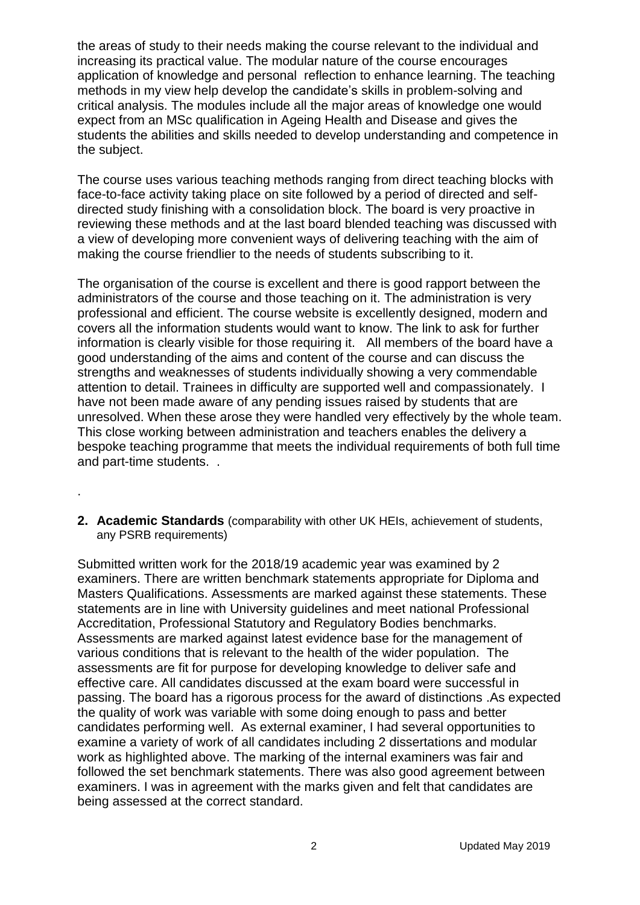the areas of study to their needs making the course relevant to the individual and increasing its practical value. The modular nature of the course encourages application of knowledge and personal reflection to enhance learning. The teaching methods in my view help develop the candidate's skills in problem-solving and critical analysis. The modules include all the major areas of knowledge one would expect from an MSc qualification in Ageing Health and Disease and gives the students the abilities and skills needed to develop understanding and competence in the subject.

The course uses various teaching methods ranging from direct teaching blocks with face-to-face activity taking place on site followed by a period of directed and selfdirected study finishing with a consolidation block. The board is very proactive in reviewing these methods and at the last board blended teaching was discussed with a view of developing more convenient ways of delivering teaching with the aim of making the course friendlier to the needs of students subscribing to it.

The organisation of the course is excellent and there is good rapport between the administrators of the course and those teaching on it. The administration is very professional and efficient. The course website is excellently designed, modern and covers all the information students would want to know. The link to ask for further information is clearly visible for those requiring it. All members of the board have a good understanding of the aims and content of the course and can discuss the strengths and weaknesses of students individually showing a very commendable attention to detail. Trainees in difficulty are supported well and compassionately. I have not been made aware of any pending issues raised by students that are unresolved. When these arose they were handled very effectively by the whole team. This close working between administration and teachers enables the delivery a bespoke teaching programme that meets the individual requirements of both full time and part-time students. .

- .
- **2. Academic Standards** (comparability with other UK HEIs, achievement of students, any PSRB requirements)

Submitted written work for the 2018/19 academic year was examined by 2 examiners. There are written benchmark statements appropriate for Diploma and Masters Qualifications. Assessments are marked against these statements. These statements are in line with University guidelines and meet national Professional Accreditation, Professional Statutory and Regulatory Bodies benchmarks. Assessments are marked against latest evidence base for the management of various conditions that is relevant to the health of the wider population. The assessments are fit for purpose for developing knowledge to deliver safe and effective care. All candidates discussed at the exam board were successful in passing. The board has a rigorous process for the award of distinctions .As expected the quality of work was variable with some doing enough to pass and better candidates performing well. As external examiner, I had several opportunities to examine a variety of work of all candidates including 2 dissertations and modular work as highlighted above. The marking of the internal examiners was fair and followed the set benchmark statements. There was also good agreement between examiners. I was in agreement with the marks given and felt that candidates are being assessed at the correct standard.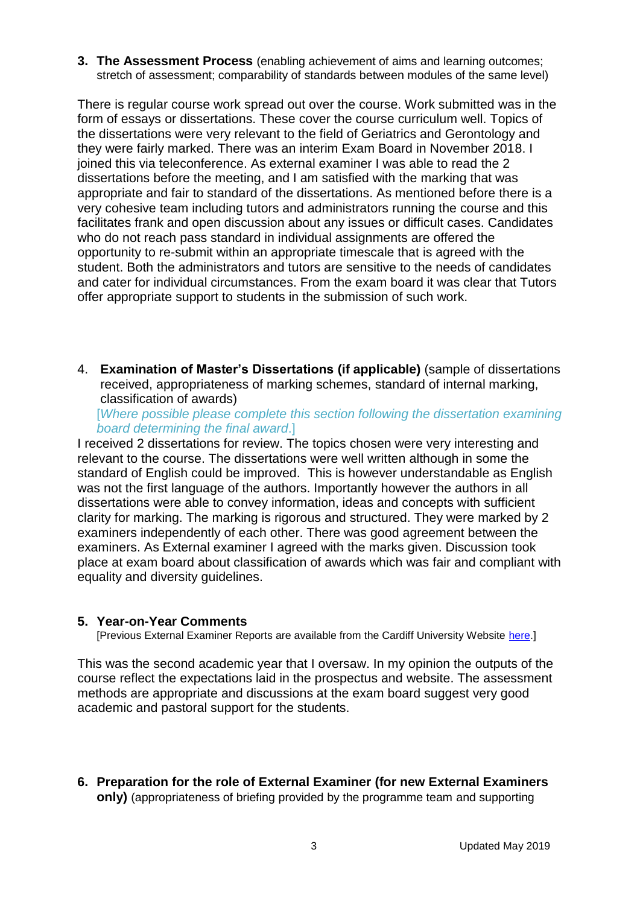**3. The Assessment Process** (enabling achievement of aims and learning outcomes; stretch of assessment; comparability of standards between modules of the same level)

There is regular course work spread out over the course. Work submitted was in the form of essays or dissertations. These cover the course curriculum well. Topics of the dissertations were very relevant to the field of Geriatrics and Gerontology and they were fairly marked. There was an interim Exam Board in November 2018. I joined this via teleconference. As external examiner I was able to read the 2 dissertations before the meeting, and I am satisfied with the marking that was appropriate and fair to standard of the dissertations. As mentioned before there is a very cohesive team including tutors and administrators running the course and this facilitates frank and open discussion about any issues or difficult cases. Candidates who do not reach pass standard in individual assignments are offered the opportunity to re-submit within an appropriate timescale that is agreed with the student. Both the administrators and tutors are sensitive to the needs of candidates and cater for individual circumstances. From the exam board it was clear that Tutors offer appropriate support to students in the submission of such work.

4. **Examination of Master's Dissertations (if applicable)** (sample of dissertations received, appropriateness of marking schemes, standard of internal marking, classification of awards)

[*Where possible please complete this section following the dissertation examining board determining the final award*.]

I received 2 dissertations for review. The topics chosen were very interesting and relevant to the course. The dissertations were well written although in some the standard of English could be improved. This is however understandable as English was not the first language of the authors. Importantly however the authors in all dissertations were able to convey information, ideas and concepts with sufficient clarity for marking. The marking is rigorous and structured. They were marked by 2 examiners independently of each other. There was good agreement between the examiners. As External examiner I agreed with the marks given. Discussion took place at exam board about classification of awards which was fair and compliant with equality and diversity guidelines.

#### **5. Year-on-Year Comments**

[Previous External Examiner Reports are available from the Cardiff University Website [here.](https://www.cardiff.ac.uk/public-information/quality-and-standards/external-examiner-reports)]

This was the second academic year that I oversaw. In my opinion the outputs of the course reflect the expectations laid in the prospectus and website. The assessment methods are appropriate and discussions at the exam board suggest very good academic and pastoral support for the students.

**6. Preparation for the role of External Examiner (for new External Examiners only)** (appropriateness of briefing provided by the programme team and supporting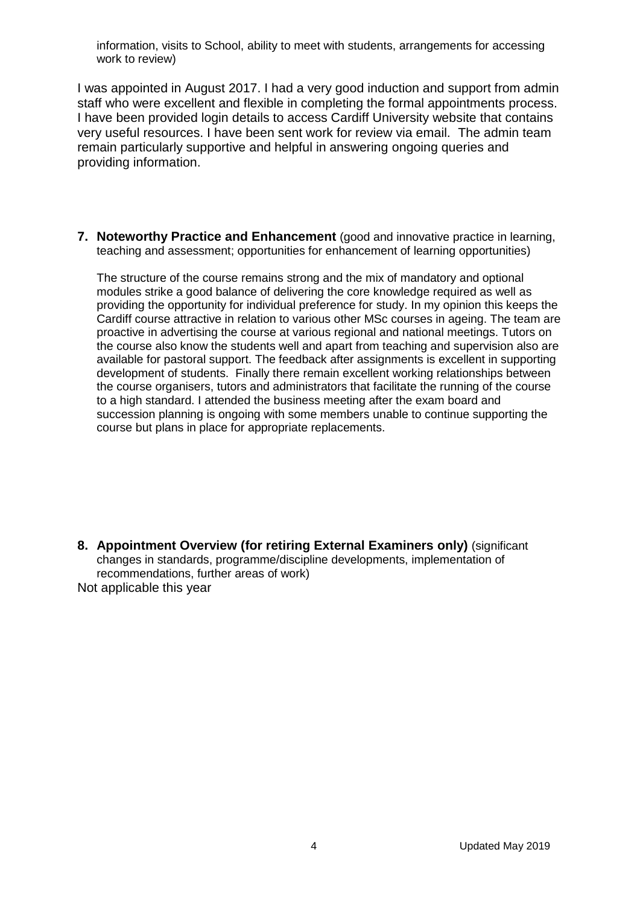information, visits to School, ability to meet with students, arrangements for accessing work to review)

I was appointed in August 2017. I had a very good induction and support from admin staff who were excellent and flexible in completing the formal appointments process. I have been provided login details to access Cardiff University website that contains very useful resources. I have been sent work for review via email. The admin team remain particularly supportive and helpful in answering ongoing queries and providing information.

**7. Noteworthy Practice and Enhancement** (good and innovative practice in learning, teaching and assessment; opportunities for enhancement of learning opportunities)

The structure of the course remains strong and the mix of mandatory and optional modules strike a good balance of delivering the core knowledge required as well as providing the opportunity for individual preference for study. In my opinion this keeps the Cardiff course attractive in relation to various other MSc courses in ageing. The team are proactive in advertising the course at various regional and national meetings. Tutors on the course also know the students well and apart from teaching and supervision also are available for pastoral support. The feedback after assignments is excellent in supporting development of students. Finally there remain excellent working relationships between the course organisers, tutors and administrators that facilitate the running of the course to a high standard. I attended the business meeting after the exam board and succession planning is ongoing with some members unable to continue supporting the course but plans in place for appropriate replacements.

**8. Appointment Overview (for retiring External Examiners only)** (significant changes in standards, programme/discipline developments, implementation of recommendations, further areas of work) Not applicable this year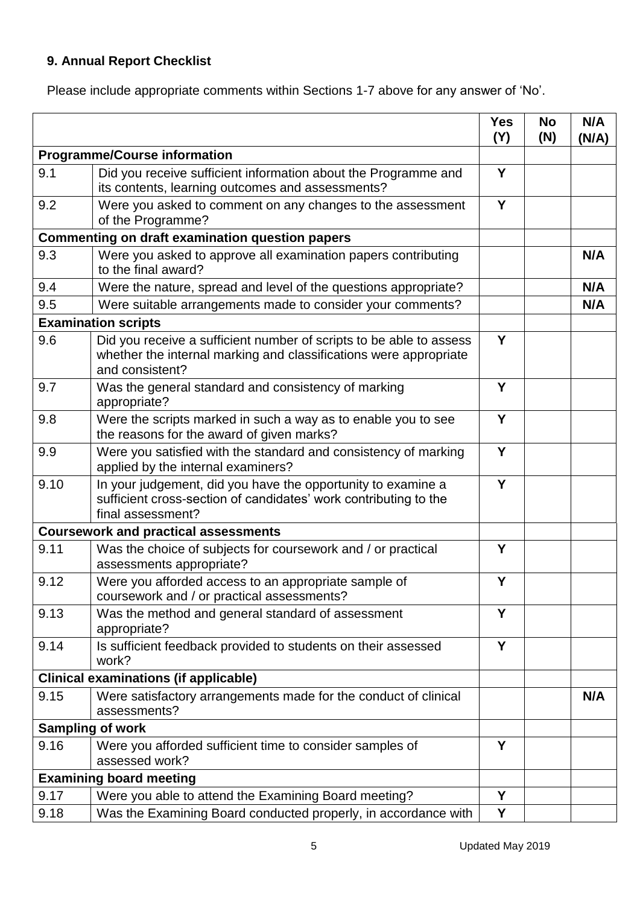# **9. Annual Report Checklist**

Please include appropriate comments within Sections 1-7 above for any answer of 'No'.

|                                     |                                                                                                                                                             | <b>Yes</b><br>(Y) | <b>No</b><br>(N) | N/A<br>(N/A) |
|-------------------------------------|-------------------------------------------------------------------------------------------------------------------------------------------------------------|-------------------|------------------|--------------|
| <b>Programme/Course information</b> |                                                                                                                                                             |                   |                  |              |
| 9.1                                 | Did you receive sufficient information about the Programme and<br>its contents, learning outcomes and assessments?                                          | Y                 |                  |              |
| 9.2                                 | Were you asked to comment on any changes to the assessment<br>of the Programme?                                                                             |                   |                  |              |
|                                     | <b>Commenting on draft examination question papers</b>                                                                                                      |                   |                  |              |
| 9.3                                 | Were you asked to approve all examination papers contributing<br>to the final award?                                                                        |                   |                  | N/A          |
| 9.4                                 | Were the nature, spread and level of the questions appropriate?                                                                                             |                   |                  | N/A          |
| 9.5                                 | Were suitable arrangements made to consider your comments?                                                                                                  |                   |                  | N/A          |
| <b>Examination scripts</b>          |                                                                                                                                                             |                   |                  |              |
| 9.6                                 | Did you receive a sufficient number of scripts to be able to assess<br>whether the internal marking and classifications were appropriate<br>and consistent? | Y                 |                  |              |
| 9.7                                 | Was the general standard and consistency of marking<br>appropriate?                                                                                         | Y                 |                  |              |
| 9.8                                 | Were the scripts marked in such a way as to enable you to see<br>the reasons for the award of given marks?                                                  | Y                 |                  |              |
| 9.9                                 | Were you satisfied with the standard and consistency of marking<br>applied by the internal examiners?                                                       | Y                 |                  |              |
| 9.10                                | In your judgement, did you have the opportunity to examine a<br>sufficient cross-section of candidates' work contributing to the<br>final assessment?       | Y                 |                  |              |
|                                     | <b>Coursework and practical assessments</b>                                                                                                                 |                   |                  |              |
| 9.11                                | Was the choice of subjects for coursework and / or practical<br>assessments appropriate?                                                                    | Y                 |                  |              |
| 9.12                                | Were you afforded access to an appropriate sample of<br>coursework and / or practical assessments?                                                          | Y                 |                  |              |
| 9.13                                | Was the method and general standard of assessment<br>appropriate?                                                                                           | Y                 |                  |              |
| 9.14                                | Is sufficient feedback provided to students on their assessed<br>work?                                                                                      | Y                 |                  |              |
|                                     | <b>Clinical examinations (if applicable)</b>                                                                                                                |                   |                  |              |
| 9.15                                | Were satisfactory arrangements made for the conduct of clinical<br>assessments?                                                                             |                   |                  | N/A          |
| <b>Sampling of work</b>             |                                                                                                                                                             |                   |                  |              |
| 9.16                                | Were you afforded sufficient time to consider samples of<br>assessed work?                                                                                  | Y                 |                  |              |
|                                     | <b>Examining board meeting</b>                                                                                                                              |                   |                  |              |
| 9.17                                | Were you able to attend the Examining Board meeting?                                                                                                        | Y                 |                  |              |
| 9.18                                | Was the Examining Board conducted properly, in accordance with                                                                                              | Υ                 |                  |              |